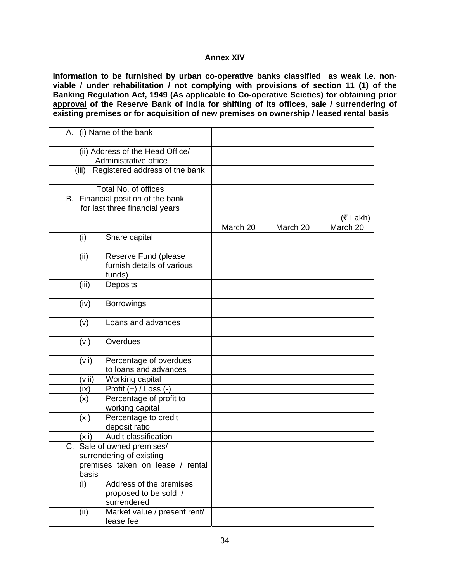## **Annex XIV**

**Information to be furnished by urban co-operative banks classified as weak i.e. nonviable / under rehabilitation / not complying with provisions of section 11 (1) of the Banking Regulation Act, 1949 (As applicable to Co-operative Scieties) for obtaining prior approval of the Reserve Bank of India for shifting of its offices, sale / surrendering of existing premises or for acquisition of new premises on ownership / leased rental basis** 

| A. (i) Name of the bank                                                                             |          |          |          |
|-----------------------------------------------------------------------------------------------------|----------|----------|----------|
| (ii) Address of the Head Office/<br>Administrative office                                           |          |          |          |
| Registered address of the bank<br>(iii)                                                             |          |          |          |
| Total No. of offices                                                                                |          |          |          |
| B. Financial position of the bank<br>for last three financial years                                 |          |          |          |
|                                                                                                     |          |          | (₹ Lakh) |
|                                                                                                     | March 20 | March 20 | March 20 |
| Share capital<br>(i)                                                                                |          |          |          |
| Reserve Fund (please<br>(ii)<br>furnish details of various<br>funds)                                |          |          |          |
| (iii)<br>Deposits                                                                                   |          |          |          |
| (iv)<br><b>Borrowings</b>                                                                           |          |          |          |
| Loans and advances<br>(v)                                                                           |          |          |          |
| Overdues<br>(vi)                                                                                    |          |          |          |
| (vii)<br>Percentage of overdues<br>to loans and advances                                            |          |          |          |
| (viii)<br>Working capital                                                                           |          |          |          |
| Profit $(+)$ / Loss $(-)$<br>(ix)                                                                   |          |          |          |
| Percentage of profit to<br>(x)<br>working capital                                                   |          |          |          |
| (x <sub>i</sub> )<br>Percentage to credit<br>deposit ratio                                          |          |          |          |
| Audit classification<br>(xii)                                                                       |          |          |          |
| C. Sale of owned premises/<br>surrendering of existing<br>premises taken on lease / rental<br>basis |          |          |          |
| Address of the premises<br>(i)<br>proposed to be sold /<br>surrendered                              |          |          |          |
| Market value / present rent/<br>(ii)<br>lease fee                                                   |          |          |          |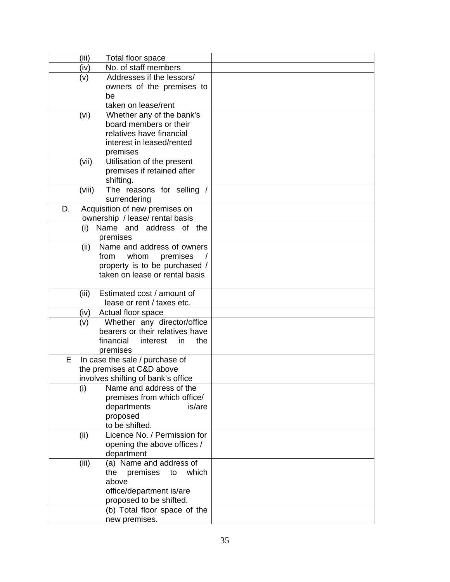|    | (iii)  | Total floor space                  |  |
|----|--------|------------------------------------|--|
|    | (iv)   | No. of staff members               |  |
|    | (v)    | Addresses if the lessors/          |  |
|    |        | owners of the premises to          |  |
|    |        | be                                 |  |
|    |        | taken on lease/rent                |  |
|    | (vi)   | Whether any of the bank's          |  |
|    |        | board members or their             |  |
|    |        | relatives have financial           |  |
|    |        | interest in leased/rented          |  |
|    |        | premises                           |  |
|    | (vii)  | Utilisation of the present         |  |
|    |        | premises if retained after         |  |
|    |        | shifting.                          |  |
|    | (viii) | The reasons for selling /          |  |
|    |        | surrendering                       |  |
| D. |        | Acquisition of new premises on     |  |
|    |        | ownership / lease/ rental basis    |  |
|    |        | (i) Name and address of the        |  |
|    |        | premises                           |  |
|    | (ii)   | Name and address of owners         |  |
|    |        | from<br>whom<br>premises           |  |
|    |        | property is to be purchased /      |  |
|    |        | taken on lease or rental basis     |  |
|    | (iii)  | Estimated cost / amount of         |  |
|    |        | lease or rent / taxes etc.         |  |
|    | (iv)   | Actual floor space                 |  |
|    | (v)    | Whether any director/office        |  |
|    |        | bearers or their relatives have    |  |
|    |        | financial<br>the<br>interest<br>in |  |
|    |        | premises                           |  |
| Е  |        | In case the sale / purchase of     |  |
|    |        | the premises at C&D above          |  |
|    |        | involves shifting of bank's office |  |
|    | (i)    | Name and address of the            |  |
|    |        | premises from which office/        |  |
|    |        | is/are<br>departments              |  |
|    |        | proposed                           |  |
|    |        | to be shifted.                     |  |
|    | (ii)   | Licence No. / Permission for       |  |
|    |        | opening the above offices /        |  |
|    |        | department                         |  |
|    | (iii)  | (a) Name and address of            |  |
|    |        | premises<br>which<br>the<br>to     |  |
|    |        | above                              |  |
|    |        | office/department is/are           |  |
|    |        | proposed to be shifted.            |  |
|    |        | (b) Total floor space of the       |  |
|    |        | new premises.                      |  |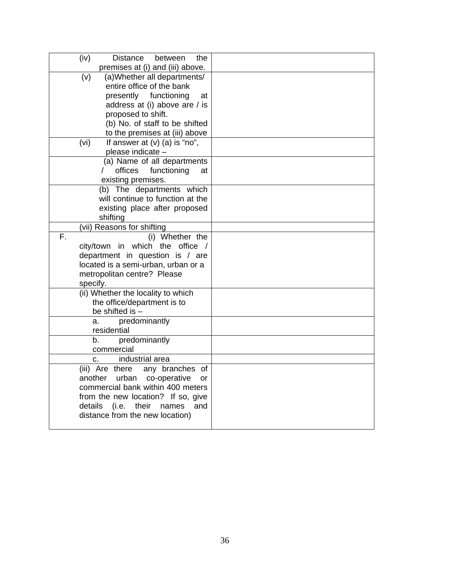| (iv)<br>Distance<br>the<br>between                                        |  |
|---------------------------------------------------------------------------|--|
| premises at (i) and (iii) above.                                          |  |
| (a) Whether all departments/<br>(v)<br>entire office of the bank          |  |
| presently functioning<br>at                                               |  |
| address at (i) above are / is                                             |  |
| proposed to shift.                                                        |  |
| (b) No. of staff to be shifted                                            |  |
| to the premises at (iii) above                                            |  |
| If answer at (v) (a) is "no",<br>(vi)                                     |  |
| please indicate -                                                         |  |
| (a) Name of all departments                                               |  |
| offices<br>functioning<br>at                                              |  |
| existing premises.                                                        |  |
| (b) The departments which                                                 |  |
| will continue to function at the                                          |  |
| existing place after proposed                                             |  |
| shifting                                                                  |  |
| (vii) Reasons for shifting<br>F.<br>(i) Whether the                       |  |
| city/town in which the office /                                           |  |
| department in question is / are                                           |  |
| located is a semi-urban, urban or a                                       |  |
| metropolitan centre? Please                                               |  |
| specify.                                                                  |  |
| (ii) Whether the locality to which                                        |  |
| the office/department is to                                               |  |
| be shifted is -                                                           |  |
| predominantly<br>a.                                                       |  |
| residential                                                               |  |
| b.<br>predominantly                                                       |  |
| commercial                                                                |  |
| industrial area<br>C.                                                     |  |
| (iii) Are there<br>any branches of<br>urban co-operative<br>another<br>or |  |
| commercial bank within 400 meters                                         |  |
| from the new location? If so, give                                        |  |
| details<br>(i.e.<br>their<br>names<br>and                                 |  |
| distance from the new location)                                           |  |
|                                                                           |  |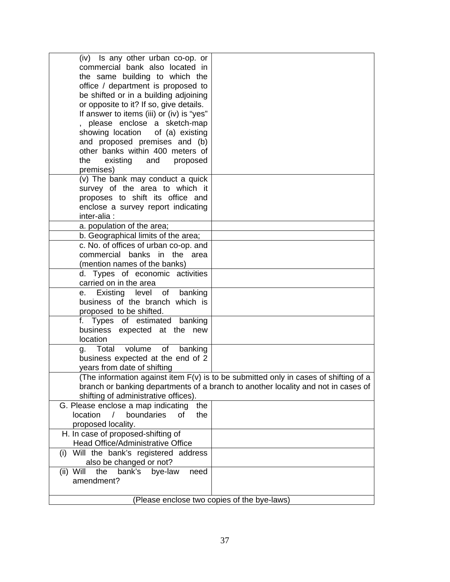| (iv) Is any other urban co-op. or<br>commercial bank also located in                         |                                                                                   |  |  |  |  |
|----------------------------------------------------------------------------------------------|-----------------------------------------------------------------------------------|--|--|--|--|
| the same building to which the                                                               |                                                                                   |  |  |  |  |
| office / department is proposed to                                                           |                                                                                   |  |  |  |  |
| be shifted or in a building adjoining                                                        |                                                                                   |  |  |  |  |
| or opposite to it? If so, give details.                                                      |                                                                                   |  |  |  |  |
| If answer to items (iii) or (iv) is "yes"                                                    |                                                                                   |  |  |  |  |
| please enclose a sketch-map                                                                  |                                                                                   |  |  |  |  |
| showing location<br>of (a) existing                                                          |                                                                                   |  |  |  |  |
| and proposed premises and (b)                                                                |                                                                                   |  |  |  |  |
| other banks within 400 meters of                                                             |                                                                                   |  |  |  |  |
| existing<br>the<br>and<br>proposed                                                           |                                                                                   |  |  |  |  |
| premises)                                                                                    |                                                                                   |  |  |  |  |
| (v) The bank may conduct a quick<br>survey of the area to which it                           |                                                                                   |  |  |  |  |
| proposes to shift its office and                                                             |                                                                                   |  |  |  |  |
| enclose a survey report indicating                                                           |                                                                                   |  |  |  |  |
| inter-alia:                                                                                  |                                                                                   |  |  |  |  |
| a. population of the area;                                                                   |                                                                                   |  |  |  |  |
| b. Geographical limits of the area;                                                          |                                                                                   |  |  |  |  |
| c. No. of offices of urban co-op. and                                                        |                                                                                   |  |  |  |  |
| commercial banks in the area                                                                 |                                                                                   |  |  |  |  |
| (mention names of the banks)                                                                 |                                                                                   |  |  |  |  |
| d. Types of economic activities                                                              |                                                                                   |  |  |  |  |
| carried on in the area                                                                       |                                                                                   |  |  |  |  |
| Existing level of banking<br>е.<br>business of the branch which is                           |                                                                                   |  |  |  |  |
| proposed to be shifted.                                                                      |                                                                                   |  |  |  |  |
| f. Types of estimated banking                                                                |                                                                                   |  |  |  |  |
| business expected at the new                                                                 |                                                                                   |  |  |  |  |
| location                                                                                     |                                                                                   |  |  |  |  |
| volume<br>of<br>banking<br>Total<br>g.                                                       |                                                                                   |  |  |  |  |
| business expected at the end of 2                                                            |                                                                                   |  |  |  |  |
| years from date of shifting                                                                  |                                                                                   |  |  |  |  |
| (The information against item F(v) is to be submitted only in cases of shifting of a         |                                                                                   |  |  |  |  |
|                                                                                              | branch or banking departments of a branch to another locality and not in cases of |  |  |  |  |
| shifting of administrative offices).                                                         |                                                                                   |  |  |  |  |
| G. Please enclose a map indicating<br>the<br>location<br>boundaries<br>$\prime$<br>0f<br>the |                                                                                   |  |  |  |  |
| proposed locality.                                                                           |                                                                                   |  |  |  |  |
| H. In case of proposed-shifting of                                                           |                                                                                   |  |  |  |  |
| Head Office/Administrative Office                                                            |                                                                                   |  |  |  |  |
| (i) Will the bank's registered address                                                       |                                                                                   |  |  |  |  |
| also be changed or not?                                                                      |                                                                                   |  |  |  |  |
| bank's<br>$(ii)$ Will<br>the<br>bye-law<br>need                                              |                                                                                   |  |  |  |  |
| amendment?                                                                                   |                                                                                   |  |  |  |  |
| (Please enclose two copies of the bye-laws)                                                  |                                                                                   |  |  |  |  |
|                                                                                              |                                                                                   |  |  |  |  |